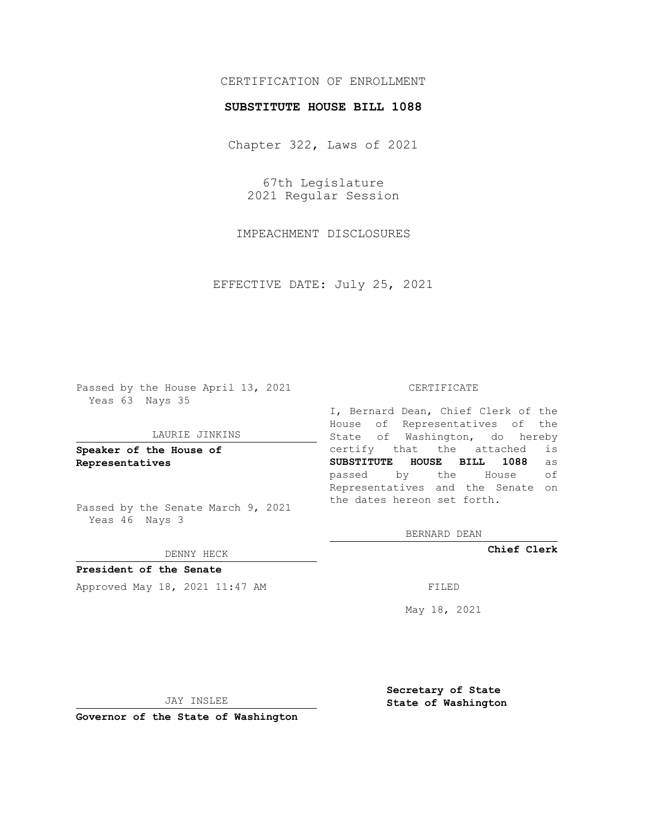# CERTIFICATION OF ENROLLMENT

## **SUBSTITUTE HOUSE BILL 1088**

Chapter 322, Laws of 2021

67th Legislature 2021 Regular Session

IMPEACHMENT DISCLOSURES

EFFECTIVE DATE: July 25, 2021

Passed by the House April 13, 2021 Yeas 63 Nays 35

### LAURIE JINKINS

**Speaker of the House of Representatives**

Passed by the Senate March 9, 2021 Yeas 46 Nays 3

### DENNY HECK

**President of the Senate** Approved May 18, 2021 11:47 AM FILED

#### CERTIFICATE

I, Bernard Dean, Chief Clerk of the House of Representatives of the State of Washington, do hereby certify that the attached is **SUBSTITUTE HOUSE BILL 1088** as passed by the House of Representatives and the Senate on the dates hereon set forth.

BERNARD DEAN

**Chief Clerk**

May 18, 2021

JAY INSLEE

**Governor of the State of Washington**

**Secretary of State State of Washington**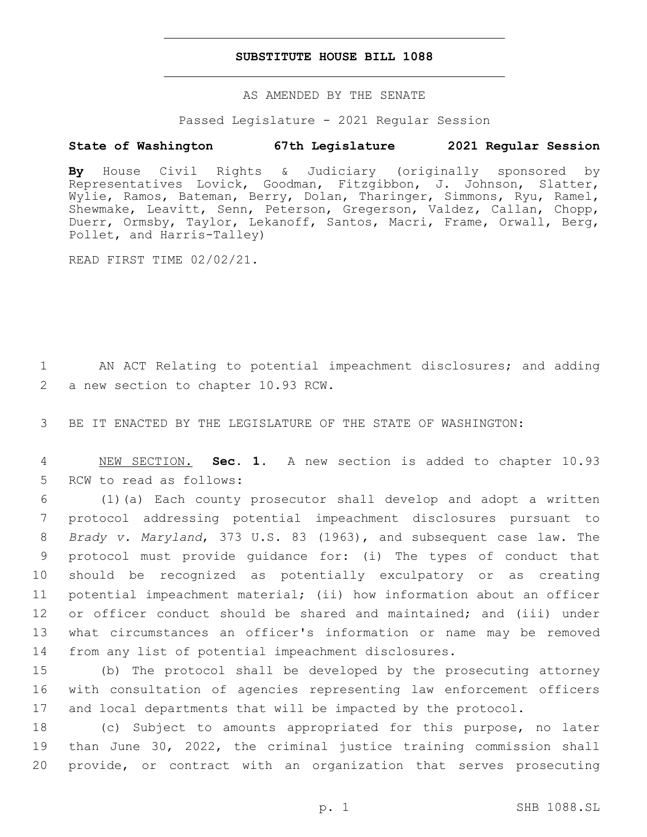## **SUBSTITUTE HOUSE BILL 1088**

AS AMENDED BY THE SENATE

Passed Legislature - 2021 Regular Session

# **State of Washington 67th Legislature 2021 Regular Session**

**By** House Civil Rights & Judiciary (originally sponsored by Representatives Lovick, Goodman, Fitzgibbon, J. Johnson, Slatter, Wylie, Ramos, Bateman, Berry, Dolan, Tharinger, Simmons, Ryu, Ramel, Shewmake, Leavitt, Senn, Peterson, Gregerson, Valdez, Callan, Chopp, Duerr, Ormsby, Taylor, Lekanoff, Santos, Macri, Frame, Orwall, Berg, Pollet, and Harris-Talley)

READ FIRST TIME 02/02/21.

1 AN ACT Relating to potential impeachment disclosures; and adding 2 a new section to chapter 10.93 RCW.

3 BE IT ENACTED BY THE LEGISLATURE OF THE STATE OF WASHINGTON:

4 NEW SECTION. **Sec. 1.** A new section is added to chapter 10.93 5 RCW to read as follows:

 (1)(a) Each county prosecutor shall develop and adopt a written protocol addressing potential impeachment disclosures pursuant to *Brady v. Maryland*, 373 U.S. 83 (1963), and subsequent case law. The protocol must provide guidance for: (i) The types of conduct that should be recognized as potentially exculpatory or as creating potential impeachment material; (ii) how information about an officer or officer conduct should be shared and maintained; and (iii) under what circumstances an officer's information or name may be removed from any list of potential impeachment disclosures.

15 (b) The protocol shall be developed by the prosecuting attorney 16 with consultation of agencies representing law enforcement officers 17 and local departments that will be impacted by the protocol.

18 (c) Subject to amounts appropriated for this purpose, no later 19 than June 30, 2022, the criminal justice training commission shall 20 provide, or contract with an organization that serves prosecuting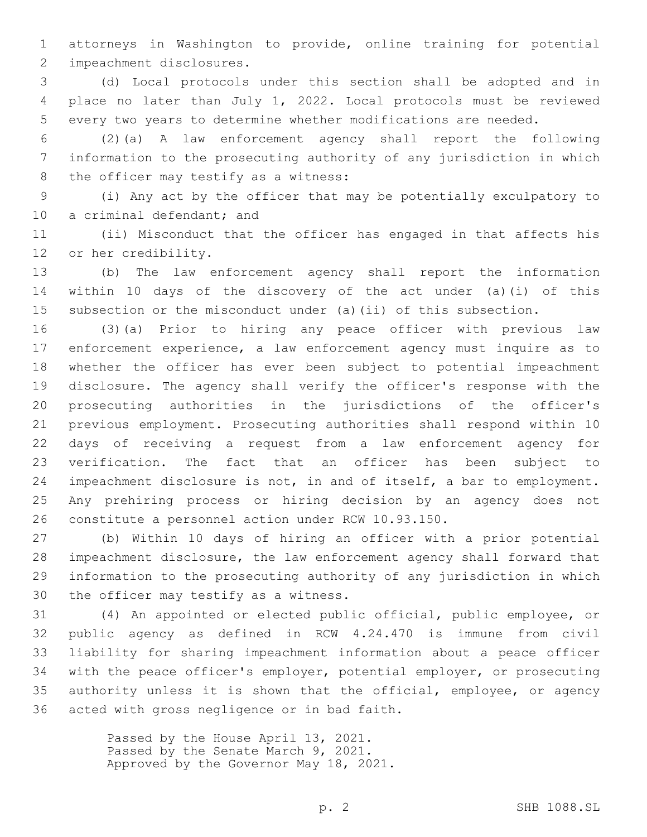attorneys in Washington to provide, online training for potential 2 impeachment disclosures.

 (d) Local protocols under this section shall be adopted and in place no later than July 1, 2022. Local protocols must be reviewed every two years to determine whether modifications are needed.

 (2)(a) A law enforcement agency shall report the following information to the prosecuting authority of any jurisdiction in which 8 the officer may testify as a witness:

 (i) Any act by the officer that may be potentially exculpatory to 10 a criminal defendant; and

 (ii) Misconduct that the officer has engaged in that affects his 12 or her credibility.

 (b) The law enforcement agency shall report the information within 10 days of the discovery of the act under (a)(i) of this subsection or the misconduct under (a)(ii) of this subsection.

 (3)(a) Prior to hiring any peace officer with previous law enforcement experience, a law enforcement agency must inquire as to whether the officer has ever been subject to potential impeachment disclosure. The agency shall verify the officer's response with the prosecuting authorities in the jurisdictions of the officer's previous employment. Prosecuting authorities shall respond within 10 days of receiving a request from a law enforcement agency for verification. The fact that an officer has been subject to impeachment disclosure is not, in and of itself, a bar to employment. Any prehiring process or hiring decision by an agency does not constitute a personnel action under RCW 10.93.150.

 (b) Within 10 days of hiring an officer with a prior potential impeachment disclosure, the law enforcement agency shall forward that information to the prosecuting authority of any jurisdiction in which 30 the officer may testify as a witness.

 (4) An appointed or elected public official, public employee, or public agency as defined in RCW 4.24.470 is immune from civil liability for sharing impeachment information about a peace officer with the peace officer's employer, potential employer, or prosecuting authority unless it is shown that the official, employee, or agency 36 acted with gross negligence or in bad faith.

> Passed by the House April 13, 2021. Passed by the Senate March 9, 2021. Approved by the Governor May 18, 2021.